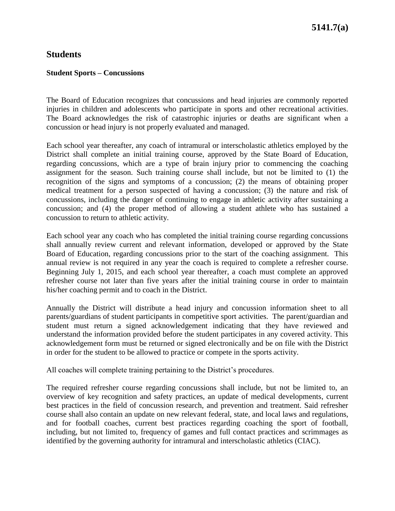## **Students**

### **Student Sports – Concussions**

The Board of Education recognizes that concussions and head injuries are commonly reported injuries in children and adolescents who participate in sports and other recreational activities. The Board acknowledges the risk of catastrophic injuries or deaths are significant when a concussion or head injury is not properly evaluated and managed.

Each school year thereafter, any coach of intramural or interscholastic athletics employed by the District shall complete an initial training course, approved by the State Board of Education, regarding concussions, which are a type of brain injury prior to commencing the coaching assignment for the season. Such training course shall include, but not be limited to (1) the recognition of the signs and symptoms of a concussion; (2) the means of obtaining proper medical treatment for a person suspected of having a concussion; (3) the nature and risk of concussions, including the danger of continuing to engage in athletic activity after sustaining a concussion; and (4) the proper method of allowing a student athlete who has sustained a concussion to return to athletic activity.

Each school year any coach who has completed the initial training course regarding concussions shall annually review current and relevant information, developed or approved by the State Board of Education, regarding concussions prior to the start of the coaching assignment. This annual review is not required in any year the coach is required to complete a refresher course. Beginning July 1, 2015, and each school year thereafter, a coach must complete an approved refresher course not later than five years after the initial training course in order to maintain his/her coaching permit and to coach in the District.

Annually the District will distribute a head injury and concussion information sheet to all parents/guardians of student participants in competitive sport activities. The parent/guardian and student must return a signed acknowledgement indicating that they have reviewed and understand the information provided before the student participates in any covered activity. This acknowledgement form must be returned or signed electronically and be on file with the District in order for the student to be allowed to practice or compete in the sports activity.

All coaches will complete training pertaining to the District's procedures.

The required refresher course regarding concussions shall include, but not be limited to, an overview of key recognition and safety practices, an update of medical developments, current best practices in the field of concussion research, and prevention and treatment. Said refresher course shall also contain an update on new relevant federal, state, and local laws and regulations, and for football coaches, current best practices regarding coaching the sport of football, including, but not limited to, frequency of games and full contact practices and scrimmages as identified by the governing authority for intramural and interscholastic athletics (CIAC).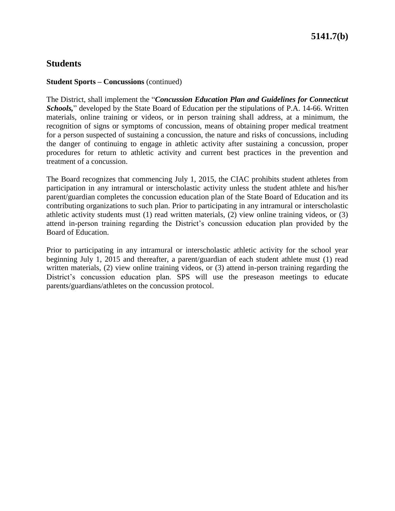## **Students**

#### **Student Sports – Concussions** (continued)

The District, shall implement the "*Concussion Education Plan and Guidelines for Connecticut Schools,*" developed by the State Board of Education per the stipulations of P.A. 14-66. Written materials, online training or videos, or in person training shall address, at a minimum, the recognition of signs or symptoms of concussion, means of obtaining proper medical treatment for a person suspected of sustaining a concussion, the nature and risks of concussions, including the danger of continuing to engage in athletic activity after sustaining a concussion, proper procedures for return to athletic activity and current best practices in the prevention and treatment of a concussion.

The Board recognizes that commencing July 1, 2015, the CIAC prohibits student athletes from participation in any intramural or interscholastic activity unless the student athlete and his/her parent/guardian completes the concussion education plan of the State Board of Education and its contributing organizations to such plan. Prior to participating in any intramural or interscholastic athletic activity students must (1) read written materials, (2) view online training videos, or (3) attend in-person training regarding the District's concussion education plan provided by the Board of Education.

Prior to participating in any intramural or interscholastic athletic activity for the school year beginning July 1, 2015 and thereafter, a parent/guardian of each student athlete must (1) read written materials, (2) view online training videos, or (3) attend in-person training regarding the District's concussion education plan. SPS will use the preseason meetings to educate parents/guardians/athletes on the concussion protocol.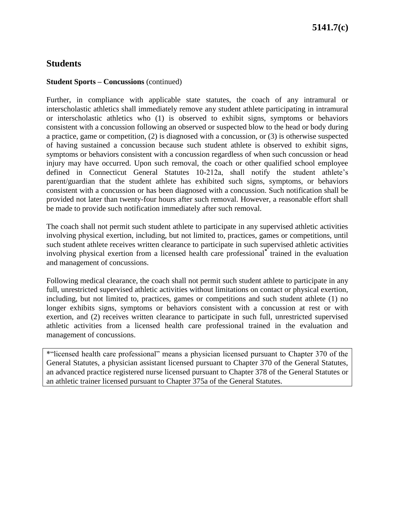# **5141.7(c)**

### **Students**

#### **Student Sports – Concussions** (continued)

Further, in compliance with applicable state statutes, the coach of any intramural or interscholastic athletics shall immediately remove any student athlete participating in intramural or interscholastic athletics who (1) is observed to exhibit signs, symptoms or behaviors consistent with a concussion following an observed or suspected blow to the head or body during a practice, game or competition, (2) is diagnosed with a concussion, or (3) is otherwise suspected of having sustained a concussion because such student athlete is observed to exhibit signs, symptoms or behaviors consistent with a concussion regardless of when such concussion or head injury may have occurred. Upon such removal, the coach or other qualified school employee defined in Connecticut General Statutes 10-212a, shall notify the student athlete's parent/guardian that the student athlete has exhibited such signs, symptoms, or behaviors consistent with a concussion or has been diagnosed with a concussion. Such notification shall be provided not later than twenty-four hours after such removal. However, a reasonable effort shall be made to provide such notification immediately after such removal.

The coach shall not permit such student athlete to participate in any supervised athletic activities involving physical exertion, including, but not limited to, practices, games or competitions, until such student athlete receives written clearance to participate in such supervised athletic activities involving physical exertion from a licensed health care professional**\*** trained in the evaluation and management of concussions.

Following medical clearance, the coach shall not permit such student athlete to participate in any full, unrestricted supervised athletic activities without limitations on contact or physical exertion, including, but not limited to, practices, games or competitions and such student athlete (1) no longer exhibits signs, symptoms or behaviors consistent with a concussion at rest or with exertion, and (2) receives written clearance to participate in such full, unrestricted supervised athletic activities from a licensed health care professional trained in the evaluation and management of concussions.

\*"licensed health care professional" means a physician licensed pursuant to Chapter 370 of the General Statutes, a physician assistant licensed pursuant to Chapter 370 of the General Statutes, an advanced practice registered nurse licensed pursuant to Chapter 378 of the General Statutes or an athletic trainer licensed pursuant to Chapter 375a of the General Statutes.